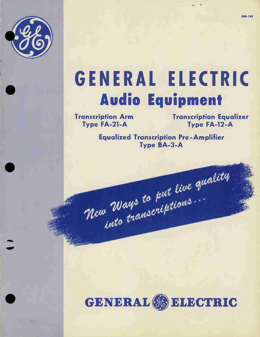

41

ankh,  $\bullet$ 

•

# GENERAL ELECTRIC Audio Equipment

Transcription Arm Type FA-21-A

Transcription Equalizer Type FA-12-A

 $\sim$   $\sim$   $\sim$ 

Equalized Transcription Pre -Amplifier Type BA-3-A

New Ways to put live quality



**FRR-180**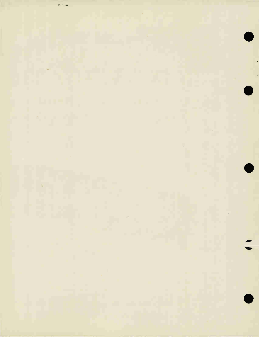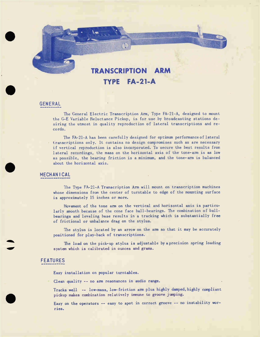# TYPE FA-21-A TRANSCRIPTION ARM

# GENERAL

•

•

•

•

The General Electric Transcription Arm, Type FA-21-A, designed to mount the G-E Variable Reluctance Pickup, is for use by broadcasting stations desiring the utmost in quality reproduction of lateral transcriptions and records.

The FA-21-A has been carefully designed for optimum performanceof lateral transcriptions only. It contains no design compromises such as are necessary if vertical reproduction is also incorporated. To secure the best results from lateral recordings, the mass on the horizontal axis of the tone-arm is as low as possible, the bearing friction is a minimum, and the tone-arm is balanced about the horizontal axis.

# MECHAN I CAL

The Type FA-21-A Transcription Arm will mount on transcription machines whose dimensions from the center of turntable to edge of the mounting surface is approximately 15 inches or more.

Movement of the tone arm on the vertical and horizontal axis is particularly smooth because of the cone face ball-bearings. The combination of ballbearings and leveling base results in a tracking which is substantially free of frictional or unbalance drag on the stylus.

The stylus is located by an arrow on the arm so that it may be accurately positioned for play-back of transcriptions.

The load on the pick-up stylus is adjustable by aprecision spring loading system which is calibrated in ounces and grams.

# FEATURES

Easy installation on popular turntables.

Clean quality -- no arm resonances in audio range.

Tracks well -- low-mass, low-friction arm plus highly damped, highly compliant pickup makes combination relatively immune to groove jumping.

Easy on the operators -- easy to spot in correct groove -- no instability worries.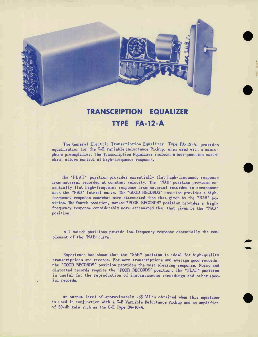

 $\bullet$ 

 $\overline{\phantom{a}}$ P

 $\bullet$ 

# TRANSCRIPTION EQUALIZER TYPE FA-12-A

The General Electric Transcription Equalizer, Type FA-12-A, provides equalization for the G-E Variable Reluctance Pickup, when used with a microphone preamplifier. The Transcription Equalizer includes a four-position switch which allows control of high-frequency response.

The "FLAT" position provides essentially flat high-frequency response from material recorded at constant velocity. The "NAB" position provides essentially flat high-frequency response from material recorded in accordance with the "NAB" lateral curve. The "GOOD RECORDS" position provides a highfrequency response somewhat more attenuated than that given by the "NAB" position. The fourth position, marked "POOR RECORDS" position provides a highfrequency response considerably more attenuated than that given by the "NAB" position.

All switch positions provide low-frequency response essentially the complement of the "NAB" curve.

Experience has shown that the "NAB" position is ideal for high-quality transcriptions and records. For worn transcriptions and average good records, the "GOOD RECORDS" position provides the most pleasing response. Noisy and distorted records require the "POOR RECORDS" position. The "FLAT" position is useful for the reproduction of instantaneous recordings and other special records.

An output level of approximately -65 VU is obtained when this equalizer is used in conjunction with a G-E Variable Reluctance Pickup and an amplifier of 50-db gain such as the G-E Type BA-10-A.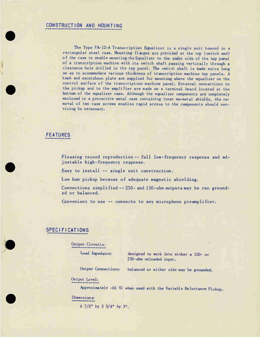# CONSTRUCTION AND MOUNTING

The Type FA-12-A Transcription Equalizer is a single unit housed in a rectangular steel case. Mounting flanges are provided at the top (switch end) of the case to enable mounting the Equalizer to the under side of the top panel of a transcription machine with its switch shaft passing vertically through a clearance hole drilled in the top panel. The switch shaft is made extra long so as to accommodate various thickness of transcription machine top panels. A knob and escutcheon plate are supplied for mounting above the equalizer on the control surface of the transcription machine panel. External connections to the pickup and to the amplifier are made on a terminal board located at the bottom of the equalizer case. Although the equalizer components are completely enclosed in a protective metal case containing inner mu-metal shields, the removal of two case screws enables rapid access to the components should servicing be necessary.

# FEATURES

•

•

•

•

Pleasing record reproduction-- full low-frequency response and adjustable high-frequency response.

Easy to install -- single unit construction.

Low hum pickup because of adequate magnetic shielding.

Connections simplified--250- and 150-ohm outputsmay be run grounded or balanced.

Convenient to use -- connects to any microphone preamplifier.

# **SPECIFICATIONS**

# Output Circuits:

Load Impedance: designed to work into either a 150- or 250-ohm unloaded input.

Output Connections: balanced or either side may be grounded.

# Output Level:

Approximately -65 VU when used with the Variable Reluctance Pickup.

# Dimensions:

6 7/8" by 3 3/4" by 3".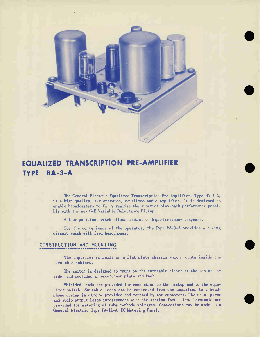

•

 $\bullet$ 

•

•

# EQUALIZED TRANSCRIPTION PRE-AMPLIFIER TYPE BA-3-A

The General Electric Equalized Transcription Pre-Amplifier, Type BA-3-A, is a high quality, a-c operated, equalized audio amplifier. It is designed to enable broadcasters to fully realize the superior play-back performance possible with the new G-E Variable Reluctance Pickup.

A four-position switch allows control of high-frequency response.

For the convenience of the operator, the Type BA-3-A provides a cueing circuit which will feed headphones.

# CONSTRUCTION AND MOUNTING

The amplifier is built on a flat plate chassis which mounts inside the turntable cabinet.

The switch is designed to mount on the turntable either at the top or the side, and includes an escutcheon plate and knob.

Shielded leads are provided for connection to the pickup and to the equalizer switch. Suitable leads can be connected from the amplifier to a headphone cueing jack (to be provided and mounted by the customer). The usual power and audio output leads interconnect with the station facilities. Terminals are provided for metering of tube cathode voltages. Connections may be made to a General Electric Type FA-11-A DC Metering Panel.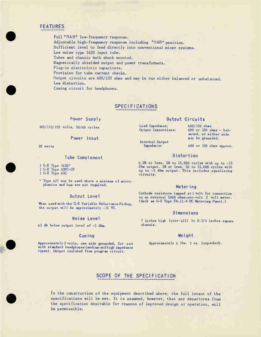FEATURES<br>Full "1<br>Adjust Full "NAB" low-frequency response. Adjustable high-frequency response including "NAB" position. Sufficient level to feed directly into conventional mixer systems. Low noise type 1620 input tube. Tubes and chassis both shock mounted. Magnetically shielded output and power transformers. Plug-in electrolytic capacitors. Provision for tube current checks. Output circuits are 600/150 ohms and may be run either balanced or unbalanced. Low distortion. Cueing circuit for headphones.

# SPECI FICATIONS

# Power Supply

105/115/125 volts, 50/60 cycles

Power Input

20 watts

•

•

•

# Tube Complement

- 1 G-E Type 1620\* 1 G-E Type 6SN7-GT 1 G-E Type 6X5
- Type 6J7 may be used where a minimum of microphonics and hum are not required.

### Output Level

When used with the G-E Variable Reluctance Pickup, the output will be approximately -15 VU.

## Noise Level

65 db below output level of -5 dbm.

# Cueing

Approximately2 volts, one side grounded, for use with standard headphones (medium and high impedance types). Output isolated from program circuit.

# Output Circuits

Load Impedance: Output Connections:

Internal Output

# Distortion

0.5% or leas, 50 to 15,000 cycles with up to -15 dbm output. 1% or less, 50 to 15,000 cycles with up to -5 dbm output. This includes equalizing circuits.

# Metering

Cathode resistors tapped atl volt for connection to an external 5000 ohms-per-volt 2 volt meter. (Such as G-E Type FA-11-A DC Metering Panel.)

### Dimensions

7 inches high (over-all) by 8-3/4 inches square chassis.

# Weight

Approximately 6 lbs. 3 oz. (unpacked).

# SCOPE OF THE SPECIFICATION

In the construction of the equipment described above, the full intent of the specifications will be met. It is assumed, however, that any departures from the specification desirable for reasons of improved design or operation, will be permissible.

600 or 150 ohms - balanced, or either side may be grounded.

600/150 ohms

Impedance: 600 or 150 ohms approx.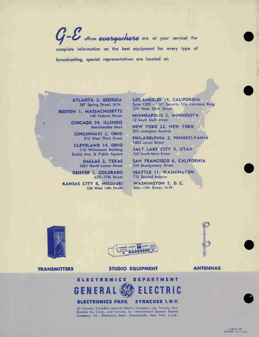$\mathcal{G}$ -E offices **ettertytumerie** are at your service! For complete information on the best equipment for every type of broadcasting, special representatives are located at:

ATLANTA 3, GEORGIA 187 Spring Street, N.W.

BOSTON 1, MASSACHUSETTS 140 Federal Street

> CHICAGO 54, ILLINOIS Merchandise Mart

CINCINNATI 2, OHIO 215 West Third Street

CLEVELAND 14, OHIO 710 Williamson Building Euclid Ave. & Public Square

> DALLAS 2, TEXAS 1801 North Lamar Street

DENVER 2, COLORADO 650-17th Street

KANSAS CITY 6, MISSOURI 106 West 14th Street LOS ANGELES 14, CALIFORNIA Suite 1300 - 1301 Security Title Insurance Bldg. 530 West Sixth Street

MINNEAPOLIS 2, MINNESOTA 12 South Sixth Street

NEW YORK 22, NEW YORK 570 Lexington Avenue

PHILADELPHIA 2, PENNSYLVANIA 1405 Locust Street

SALT LAKE CITY 9, UTAH 200 South Main Street

SAN FRANCISCO 6, CALIFORNIA 235 Montgomery Street

SEATTLE 11, WASHINGTON 710 Second Avenue

WASHINGTON 5, D. C. 806-15th Street, N.W.





TRANSMITTERS STUDIO EQUIPMENT

ELECTRONICS DEPARTMENT

GENERAL SAS ELECTRIC

ELECTRONICS PARK SYRACUSE I, N.Y. (In Canada, Canadian General Electric Company, Ltd., Toronto, Ont. Outside the U.S.A., and Canada, by: International General Electric Company, Inc., Electronics Dept., Schenectady, New York, U.S.A.)



 $\bullet$ 

•

 $\bullet$ 

 $\bullet$